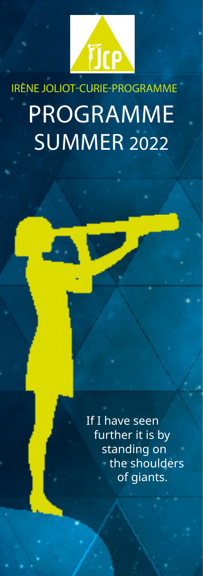

## IRÈNE JOLIOT-CURIE-PROGRAMME PROGRAMME **SUMMER 2022**

If I have seen further it is by standing on the shoulders of giants.